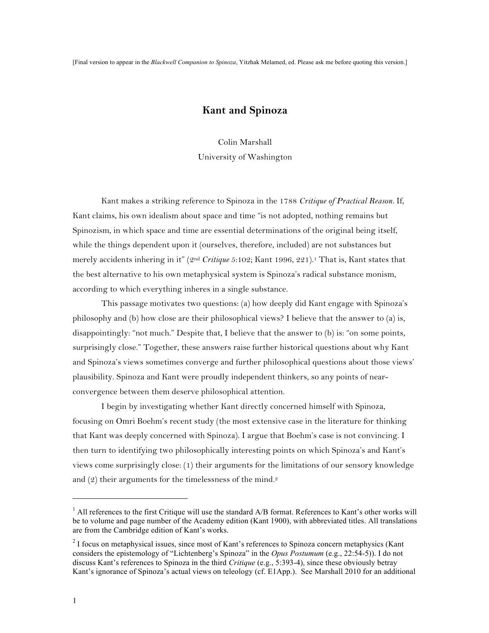[Final version to appear in the *Blackwell Companion to Spinoza*, Yitzhak Melamed, ed. Please ask me before quoting this version.]

# **Kant and Spinoza**

Colin Marshall

University of Washington

Kant makes a striking reference to Spinoza in the 1788 *Critique of Practical Reason.* If, Kant claims, his own idealism about space and time "is not adopted, nothing remains but Spinozism, in which space and time are essential determinations of the original being itself, while the things dependent upon it (ourselves, therefore, included) are not substances but merely accidents inhering in it" (2nd *Critique* 5:102; Kant 1996, 221).1 That is, Kant states that the best alternative to his own metaphysical system is Spinoza's radical substance monism, according to which everything inheres in a single substance.

This passage motivates two questions: (a) how deeply did Kant engage with Spinoza's philosophy and (b) how close are their philosophical views? I believe that the answer to (a) is, disappointingly: "not much." Despite that, I believe that the answer to (b) is: "on some points, surprisingly close." Together, these answers raise further historical questions about why Kant and Spinoza's views sometimes converge and further philosophical questions about those views' plausibility. Spinoza and Kant were proudly independent thinkers, so any points of nearconvergence between them deserve philosophical attention.

I begin by investigating whether Kant directly concerned himself with Spinoza, focusing on Omri Boehm's recent study (the most extensive case in the literature for thinking that Kant was deeply concerned with Spinoza). I argue that Boehm's case is not convincing. I then turn to identifying two philosophically interesting points on which Spinoza's and Kant's views come surprisingly close: (1) their arguments for the limitations of our sensory knowledge and  $(2)$  their arguments for the timelessness of the mind.<sup>2</sup>

1

<sup>&</sup>lt;sup>1</sup> All references to the first Critique will use the standard A/B format. References to Kant's other works will be to volume and page number of the Academy edition (Kant 1900), with abbreviated titles. All translations are from the Cambridge edition of Kant's works.

<sup>2</sup> I focus on metaphysical issues, since most of Kant's references to Spinoza concern metaphysics (Kant considers the epistemology of "Lichtenberg's Spinoza" in the *Opus Postumum* (e.g., 22:54-5)). I do not discuss Kant's references to Spinoza in the third *Critique* (e.g., 5:393-4), since these obviously betray Kant's ignorance of Spinoza's actual views on teleology (cf. E1App.). See Marshall 2010 for an additional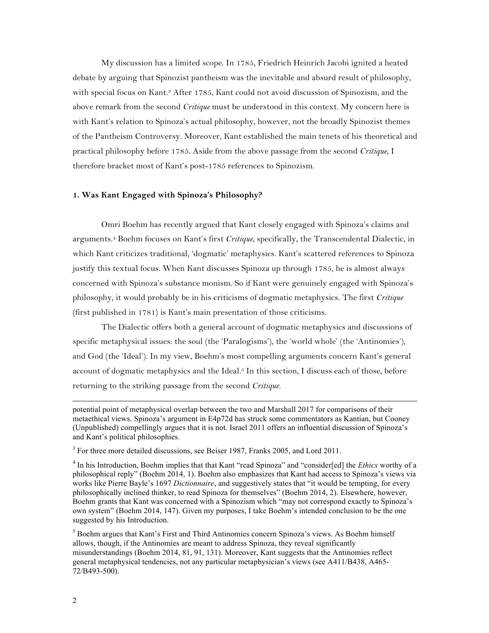My discussion has a limited scope. In 1785, Friedrich Heinrich Jacobi ignited a heated debate by arguing that Spinozist pantheism was the inevitable and absurd result of philosophy, with special focus on Kant.3 After 1785, Kant could not avoid discussion of Spinozism, and the above remark from the second *Critique* must be understood in this context. My concern here is with Kant's relation to Spinoza's actual philosophy, however, not the broadly Spinozist themes of the Pantheism Controversy. Moreover, Kant established the main tenets of his theoretical and practical philosophy before 1785. Aside from the above passage from the second *Critique*, I therefore bracket most of Kant's post-1785 references to Spinozism.

## **1. Was Kant Engaged with Spinoza's Philosophy?**

Omri Boehm has recently argued that Kant closely engaged with Spinoza's claims and arguments. <sup>4</sup> Boehm focuses on Kant's first *Critique*, specifically, the Transcendental Dialectic, in which Kant criticizes traditional, 'dogmatic' metaphysics. Kant's scattered references to Spinoza justify this textual focus. When Kant discusses Spinoza up through 1785, he is almost always concerned with Spinoza's substance monism. So if Kant were genuinely engaged with Spinoza's philosophy, it would probably be in his criticisms of dogmatic metaphysics. The first *Critique* (first published in 1781) is Kant's main presentation of those criticisms.

The Dialectic offers both a general account of dogmatic metaphysics and discussions of specific metaphysical issues: the soul (the 'Paralogisms'), the 'world whole' (the 'Antinomies'), and God (the 'Ideal'). In my view, Boehm's most compelling arguments concern Kant's general account of dogmatic metaphysics and the Ideal.<sup>5</sup> In this section, I discuss each of those, before returning to the striking passage from the second *Critique*.

potential point of metaphysical overlap between the two and Marshall 2017 for comparisons of their metaethical views. Spinoza's argument in E4p72d has struck some commentators as Kantian, but Cooney (Unpublished) compellingly argues that it is not. Israel 2011 offers an influential discussion of Spinoza's and Kant's political philosophies.

<sup>3</sup> For three more detailed discussions, see Beiser 1987, Franks 2005, and Lord 2011.

<sup>4</sup> In his Introduction, Boehm implies that that Kant "read Spinoza" and "consider[ed] the *Ethics* worthy of a philosophical reply" (Boehm 2014, 1). Boehm also emphasizes that Kant had access to Spinoza's views via works like Pierre Bayle's 1697 *Dictionnaire*, and suggestively states that "it would be tempting, for every philosophically inclined thinker, to read Spinoza for themselves" (Boehm 2014, 2). Elsewhere, however, Boehm grants that Kant was concerned with a Spinozism which "may not correspond exactly to Spinoza's own system" (Boehm 2014, 147). Given my purposes, I take Boehm's intended conclusion to be the one suggested by his Introduction.

<sup>5</sup> Boehm argues that Kant's First and Third Antinomies concern Spinoza's views. As Boehm himself allows, though, if the Antinomies are meant to address Spinoza, they reveal significantly misunderstandings (Boehm 2014, 81, 91, 131). Moreover, Kant suggests that the Antinomies reflect general metaphysical tendencies, not any particular metaphysician's views (see A411/B438, A465- 72/B493-500).

l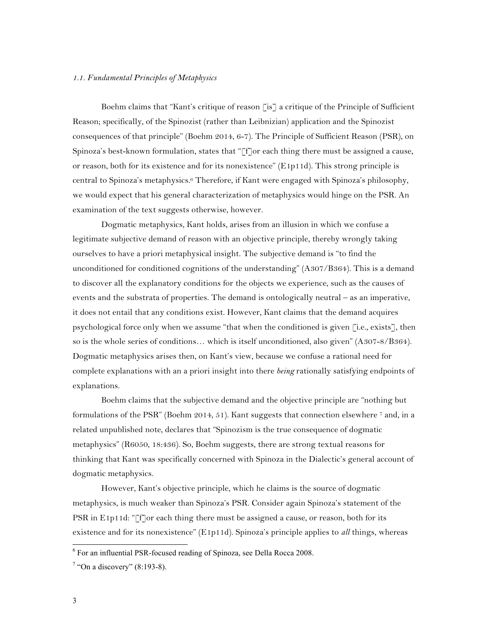### *1.1. Fundamental Principles of Metaphysics*

Boehm claims that "Kant's critique of reason [is] a critique of the Principle of Sufficient Reason; specifically, of the Spinozist (rather than Leibnizian) application and the Spinozist consequences of that principle" (Boehm 2014, 6-7). The Principle of Sufficient Reason (PSR), on Spinoza's best-known formulation, states that "[f]or each thing there must be assigned a cause, or reason, both for its existence and for its nonexistence" (E1p11d). This strong principle is central to Spinoza's metaphysics.6 Therefore, if Kant were engaged with Spinoza's philosophy, we would expect that his general characterization of metaphysics would hinge on the PSR. An examination of the text suggests otherwise, however.

Dogmatic metaphysics, Kant holds, arises from an illusion in which we confuse a legitimate subjective demand of reason with an objective principle, thereby wrongly taking ourselves to have a priori metaphysical insight. The subjective demand is "to find the unconditioned for conditioned cognitions of the understanding" (A307/B364). This is a demand to discover all the explanatory conditions for the objects we experience, such as the causes of events and the substrata of properties. The demand is ontologically neutral – as an imperative, it does not entail that any conditions exist. However, Kant claims that the demand acquires psychological force only when we assume "that when the conditioned is given [i.e., exists], then so is the whole series of conditions… which is itself unconditioned, also given" (A307-8/B364). Dogmatic metaphysics arises then, on Kant's view, because we confuse a rational need for complete explanations with an a priori insight into there *being* rationally satisfying endpoints of explanations.

Boehm claims that the subjective demand and the objective principle are "nothing but formulations of the PSR" (Boehm 2014, 51). Kant suggests that connection elsewhere <sup>7</sup> and, in a related unpublished note, declares that "Spinozism is the true consequence of dogmatic metaphysics" (R6050, 18:436). So, Boehm suggests, there are strong textual reasons for thinking that Kant was specifically concerned with Spinoza in the Dialectic's general account of dogmatic metaphysics.

However, Kant's objective principle, which he claims is the source of dogmatic metaphysics, is much weaker than Spinoza's PSR. Consider again Spinoza's statement of the PSR in E1p11d: "[f]or each thing there must be assigned a cause, or reason, both for its existence and for its nonexistence" (E1p11d). Spinoza's principle applies to *all* things, whereas

 <sup>6</sup> For an influential PSR-focused reading of Spinoza, see Della Rocca 2008.

 $7$  "On a discovery" (8:193-8).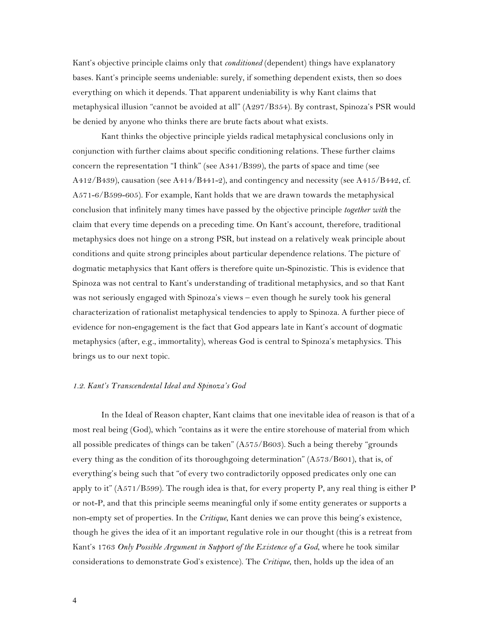Kant's objective principle claims only that *conditioned* (dependent) things have explanatory bases. Kant's principle seems undeniable: surely, if something dependent exists, then so does everything on which it depends. That apparent undeniability is why Kant claims that metaphysical illusion "cannot be avoided at all" (A297/B354). By contrast, Spinoza's PSR would be denied by anyone who thinks there are brute facts about what exists.

Kant thinks the objective principle yields radical metaphysical conclusions only in conjunction with further claims about specific conditioning relations. These further claims concern the representation "I think" (see A341/B399), the parts of space and time (see A412/B439), causation (see A414/B441-2), and contingency and necessity (see A415/B442, cf. A571-6/B599-605). For example, Kant holds that we are drawn towards the metaphysical conclusion that infinitely many times have passed by the objective principle *together with* the claim that every time depends on a preceding time. On Kant's account, therefore, traditional metaphysics does not hinge on a strong PSR, but instead on a relatively weak principle about conditions and quite strong principles about particular dependence relations. The picture of dogmatic metaphysics that Kant offers is therefore quite un-Spinozistic. This is evidence that Spinoza was not central to Kant's understanding of traditional metaphysics, and so that Kant was not seriously engaged with Spinoza's views – even though he surely took his general characterization of rationalist metaphysical tendencies to apply to Spinoza. A further piece of evidence for non-engagement is the fact that God appears late in Kant's account of dogmatic metaphysics (after, e.g., immortality), whereas God is central to Spinoza's metaphysics. This brings us to our next topic.

#### *1.2. Kant's Transcendental Ideal and Spinoza's God*

In the Ideal of Reason chapter, Kant claims that one inevitable idea of reason is that of a most real being (God), which "contains as it were the entire storehouse of material from which all possible predicates of things can be taken" (A575/B603). Such a being thereby "grounds every thing as the condition of its thoroughgoing determination" (A573/B601), that is, of everything's being such that "of every two contradictorily opposed predicates only one can apply to it" (A571/B599). The rough idea is that, for every property P, any real thing is either P or not-P, and that this principle seems meaningful only if some entity generates or supports a non-empty set of properties. In the *Critique*, Kant denies we can prove this being's existence, though he gives the idea of it an important regulative role in our thought (this is a retreat from Kant's 1763 *Only Possible Argument in Support of the Existence of a God*, where he took similar considerations to demonstrate God's existence). The *Critique*, then, holds up the idea of an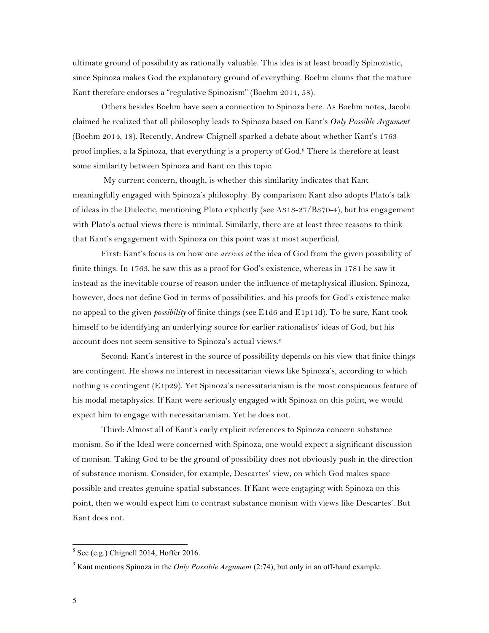ultimate ground of possibility as rationally valuable. This idea is at least broadly Spinozistic, since Spinoza makes God the explanatory ground of everything. Boehm claims that the mature Kant therefore endorses a "regulative Spinozism" (Boehm 2014, 58).

Others besides Boehm have seen a connection to Spinoza here. As Boehm notes, Jacobi claimed he realized that all philosophy leads to Spinoza based on Kant's *Only Possible Argument* (Boehm 2014, 18). Recently, Andrew Chignell sparked a debate about whether Kant's 1763 proof implies, a la Spinoza, that everything is a property of God.8 There is therefore at least some similarity between Spinoza and Kant on this topic.

My current concern, though, is whether this similarity indicates that Kant meaningfully engaged with Spinoza's philosophy. By comparison: Kant also adopts Plato's talk of ideas in the Dialectic, mentioning Plato explicitly (see A313-27/B370-4), but his engagement with Plato's actual views there is minimal. Similarly, there are at least three reasons to think that Kant's engagement with Spinoza on this point was at most superficial.

First: Kant's focus is on how one *arrives at* the idea of God from the given possibility of finite things. In 1763, he saw this as a proof for God's existence, whereas in 1781 he saw it instead as the inevitable course of reason under the influence of metaphysical illusion. Spinoza, however, does not define God in terms of possibilities, and his proofs for God's existence make no appeal to the given *possibility* of finite things (see E1d6 and E1p11d). To be sure, Kant took himself to be identifying an underlying source for earlier rationalists' ideas of God, but his account does not seem sensitive to Spinoza's actual views.9

Second: Kant's interest in the source of possibility depends on his view that finite things are contingent. He shows no interest in necessitarian views like Spinoza's, according to which nothing is contingent (E1p29). Yet Spinoza's necessitarianism is the most conspicuous feature of his modal metaphysics. If Kant were seriously engaged with Spinoza on this point, we would expect him to engage with necessitarianism. Yet he does not.

Third: Almost all of Kant's early explicit references to Spinoza concern substance monism. So if the Ideal were concerned with Spinoza, one would expect a significant discussion of monism. Taking God to be the ground of possibility does not obviously push in the direction of substance monism. Consider, for example, Descartes' view, on which God makes space possible and creates genuine spatial substances. If Kant were engaging with Spinoza on this point, then we would expect him to contrast substance monism with views like Descartes'. But Kant does not.

 $8$  See (e.g.) Chignell 2014, Hoffer 2016.

<sup>9</sup> Kant mentions Spinoza in the *Only Possible Argument* (2:74), but only in an off-hand example.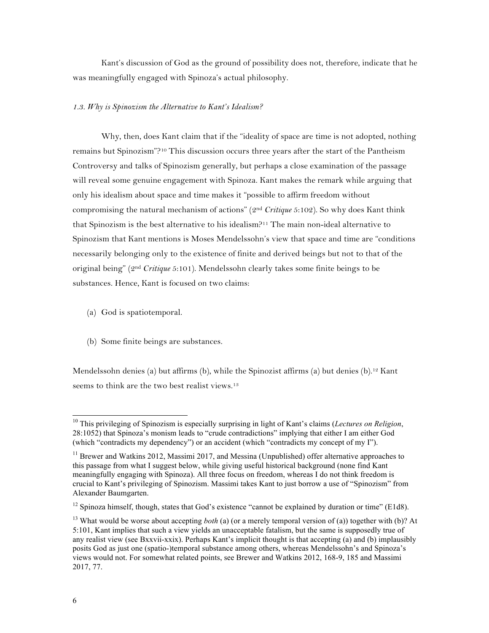Kant's discussion of God as the ground of possibility does not, therefore, indicate that he was meaningfully engaged with Spinoza's actual philosophy.

## *1.3. Why is Spinozism the Alternative to Kant's Idealism?*

Why, then, does Kant claim that if the "ideality of space are time is not adopted, nothing remains but Spinozism"?10 This discussion occurs three years after the start of the Pantheism Controversy and talks of Spinozism generally, but perhaps a close examination of the passage will reveal some genuine engagement with Spinoza. Kant makes the remark while arguing that only his idealism about space and time makes it "possible to affirm freedom without compromising the natural mechanism of actions" (2nd *Critique* 5:102). So why does Kant think that Spinozism is the best alternative to his idealism?11 The main non-ideal alternative to Spinozism that Kant mentions is Moses Mendelssohn's view that space and time are "conditions necessarily belonging only to the existence of finite and derived beings but not to that of the original being" (2nd *Critique* 5:101). Mendelssohn clearly takes some finite beings to be substances. Hence, Kant is focused on two claims:

- (a) God is spatiotemporal.
- (b) Some finite beings are substances.

Mendelssohn denies (a) but affirms (b), while the Spinozist affirms (a) but denies (b).<sup>12</sup> Kant seems to think are the two best realist views.13

 <sup>10</sup> This privileging of Spinozism is especially surprising in light of Kant's claims (*Lectures on Religion*, 28:1052) that Spinoza's monism leads to "crude contradictions" implying that either I am either God (which "contradicts my dependency") or an accident (which "contradicts my concept of my I").

 $11$  Brewer and Watkins 2012, Massimi 2017, and Messina (Unpublished) offer alternative approaches to this passage from what I suggest below, while giving useful historical background (none find Kant meaningfully engaging with Spinoza). All three focus on freedom, whereas I do not think freedom is crucial to Kant's privileging of Spinozism. Massimi takes Kant to just borrow a use of "Spinozism" from Alexander Baumgarten.

 $12$  Spinoza himself, though, states that God's existence "cannot be explained by duration or time" (E1d8).

<sup>&</sup>lt;sup>13</sup> What would be worse about accepting *both* (a) (or a merely temporal version of (a)) together with (b)? At 5:101, Kant implies that such a view yields an unacceptable fatalism, but the same is supposedly true of any realist view (see Bxxvii-xxix). Perhaps Kant's implicit thought is that accepting (a) and (b) implausibly posits God as just one (spatio-)temporal substance among others, whereas Mendelssohn's and Spinoza's views would not. For somewhat related points, see Brewer and Watkins 2012, 168-9, 185 and Massimi 2017, 77.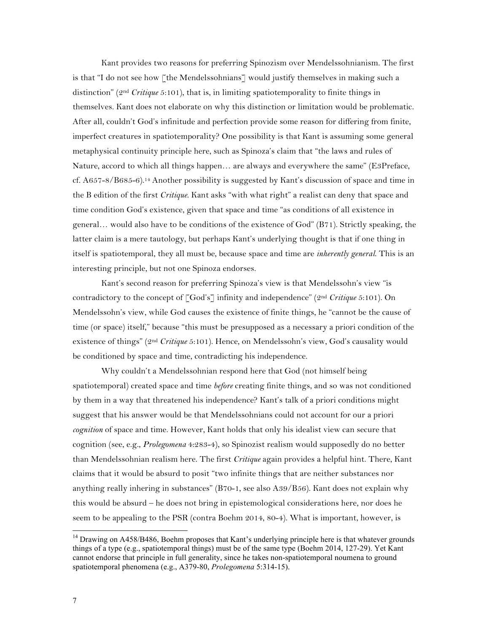Kant provides two reasons for preferring Spinozism over Mendelssohnianism. The first is that "I do not see how [the Mendelssohnians] would justify themselves in making such a distinction" (2nd *Critique* 5:101), that is, in limiting spatiotemporality to finite things in themselves. Kant does not elaborate on why this distinction or limitation would be problematic. After all, couldn't God's infinitude and perfection provide some reason for differing from finite, imperfect creatures in spatiotemporality? One possibility is that Kant is assuming some general metaphysical continuity principle here, such as Spinoza's claim that "the laws and rules of Nature, accord to which all things happen… are always and everywhere the same" (E3Preface, cf. A657-8/B685-6).14 Another possibility is suggested by Kant's discussion of space and time in the B edition of the first *Critique*. Kant asks "with what right" a realist can deny that space and time condition God's existence, given that space and time "as conditions of all existence in general… would also have to be conditions of the existence of God" (B71). Strictly speaking, the latter claim is a mere tautology, but perhaps Kant's underlying thought is that if one thing in itself is spatiotemporal, they all must be, because space and time are *inherently general*. This is an interesting principle, but not one Spinoza endorses.

Kant's second reason for preferring Spinoza's view is that Mendelssohn's view "is contradictory to the concept of [God's] infinity and independence" (2nd *Critique* 5:101). On Mendelssohn's view, while God causes the existence of finite things, he "cannot be the cause of time (or space) itself," because "this must be presupposed as a necessary a priori condition of the existence of things" (2nd *Critique* 5:101). Hence, on Mendelssohn's view, God's causality would be conditioned by space and time, contradicting his independence.

Why couldn't a Mendelssohnian respond here that God (not himself being spatiotemporal) created space and time *before* creating finite things, and so was not conditioned by them in a way that threatened his independence? Kant's talk of a priori conditions might suggest that his answer would be that Mendelssohnians could not account for our a priori *cognition* of space and time. However, Kant holds that only his idealist view can secure that cognition (see, e.g., *Prolegomena* 4:283-4), so Spinozist realism would supposedly do no better than Mendelssohnian realism here. The first *Critique* again provides a helpful hint. There, Kant claims that it would be absurd to posit "two infinite things that are neither substances nor anything really inhering in substances" (B70-1, see also A39/B56). Kant does not explain why this would be absurd – he does not bring in epistemological considerations here, nor does he seem to be appealing to the PSR (contra Boehm 2014, 80-4). What is important, however, is

<sup>&</sup>lt;sup>14</sup> Drawing on A458/B486, Boehm proposes that Kant's underlying principle here is that whatever grounds things of a type (e.g., spatiotemporal things) must be of the same type (Boehm 2014, 127-29). Yet Kant cannot endorse that principle in full generality, since he takes non-spatiotemporal noumena to ground spatiotemporal phenomena (e.g., A379-80, *Prolegomena* 5:314-15).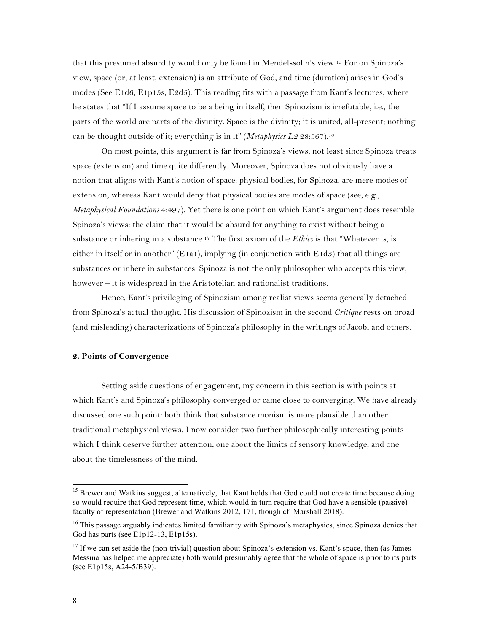that this presumed absurdity would only be found in Mendelssohn's view.15 For on Spinoza's view, space (or, at least, extension) is an attribute of God, and time (duration) arises in God's modes (See E1d6, E1p15s, E2d5). This reading fits with a passage from Kant's lectures, where he states that "If I assume space to be a being in itself, then Spinozism is irrefutable, i.e., the parts of the world are parts of the divinity. Space is the divinity; it is united, all-present; nothing can be thought outside of it; everything is in it" (*Metaphysics L2* 28:567).16

On most points, this argument is far from Spinoza's views, not least since Spinoza treats space (extension) and time quite differently. Moreover, Spinoza does not obviously have a notion that aligns with Kant's notion of space: physical bodies, for Spinoza, are mere modes of extension, whereas Kant would deny that physical bodies are modes of space (see, e.g., *Metaphysical Foundations* 4:497). Yet there is one point on which Kant's argument does resemble Spinoza's views: the claim that it would be absurd for anything to exist without being a substance or inhering in a substance. <sup>17</sup> The first axiom of the *Ethics* is that "Whatever is, is either in itself or in another" (E1a1), implying (in conjunction with E1d3) that all things are substances or inhere in substances. Spinoza is not the only philosopher who accepts this view, however – it is widespread in the Aristotelian and rationalist traditions.

Hence, Kant's privileging of Spinozism among realist views seems generally detached from Spinoza's actual thought. His discussion of Spinozism in the second *Critique* rests on broad (and misleading) characterizations of Spinoza's philosophy in the writings of Jacobi and others.

#### **2. Points of Convergence**

Setting aside questions of engagement, my concern in this section is with points at which Kant's and Spinoza's philosophy converged or came close to converging. We have already discussed one such point: both think that substance monism is more plausible than other traditional metaphysical views. I now consider two further philosophically interesting points which I think deserve further attention, one about the limits of sensory knowledge, and one about the timelessness of the mind.

<sup>&</sup>lt;sup>15</sup> Brewer and Watkins suggest, alternatively, that Kant holds that God could not create time because doing so would require that God represent time, which would in turn require that God have a sensible (passive) faculty of representation (Brewer and Watkins 2012, 171, though cf. Marshall 2018).

<sup>&</sup>lt;sup>16</sup> This passage arguably indicates limited familiarity with Spinoza's metaphysics, since Spinoza denies that God has parts (see E1p12-13, E1p15s).

 $17$  If we can set aside the (non-trivial) question about Spinoza's extension vs. Kant's space, then (as James Messina has helped me appreciate) both would presumably agree that the whole of space is prior to its parts (see E1p15s, A24-5/B39).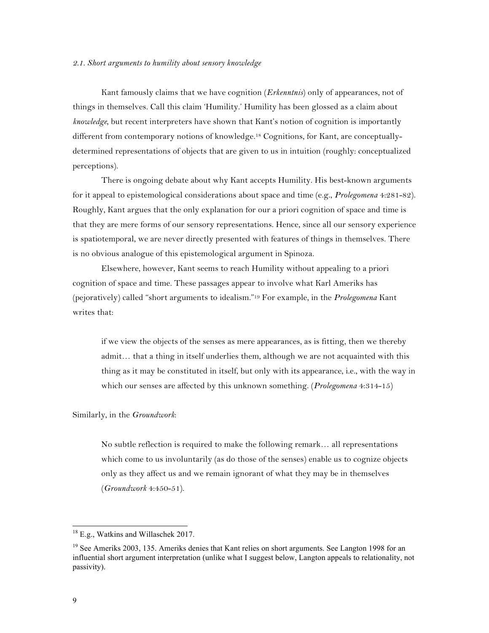#### *2.1. Short arguments to humility about sensory knowledge*

Kant famously claims that we have cognition (*Erkenntnis*) only of appearances, not of things in themselves. Call this claim 'Humility.' Humility has been glossed as a claim about *knowledge*, but recent interpreters have shown that Kant's notion of cognition is importantly different from contemporary notions of knowledge.18 Cognitions, for Kant, are conceptuallydetermined representations of objects that are given to us in intuition (roughly: conceptualized perceptions).

There is ongoing debate about why Kant accepts Humility. His best-known arguments for it appeal to epistemological considerations about space and time (e.g., *Prolegomena* 4:281-82). Roughly, Kant argues that the only explanation for our a priori cognition of space and time is that they are mere forms of our sensory representations. Hence, since all our sensory experience is spatiotemporal, we are never directly presented with features of things in themselves. There is no obvious analogue of this epistemological argument in Spinoza.

Elsewhere, however, Kant seems to reach Humility without appealing to a priori cognition of space and time. These passages appear to involve what Karl Ameriks has (pejoratively) called "short arguments to idealism."19 For example, in the *Prolegomena* Kant writes that:

if we view the objects of the senses as mere appearances, as is fitting, then we thereby admit… that a thing in itself underlies them, although we are not acquainted with this thing as it may be constituted in itself, but only with its appearance, i.e., with the way in which our senses are affected by this unknown something. (*Prolegomena* 4:314-15)

## Similarly, in the *Groundwork*:

No subtle reflection is required to make the following remark… all representations which come to us involuntarily (as do those of the senses) enable us to cognize objects only as they affect us and we remain ignorant of what they may be in themselves (*Groundwork* 4:450-51).

 <sup>18</sup> E.g., Watkins and Willaschek 2017.

<sup>&</sup>lt;sup>19</sup> See Ameriks 2003, 135. Ameriks denies that Kant relies on short arguments. See Langton 1998 for an influential short argument interpretation (unlike what I suggest below, Langton appeals to relationality, not passivity).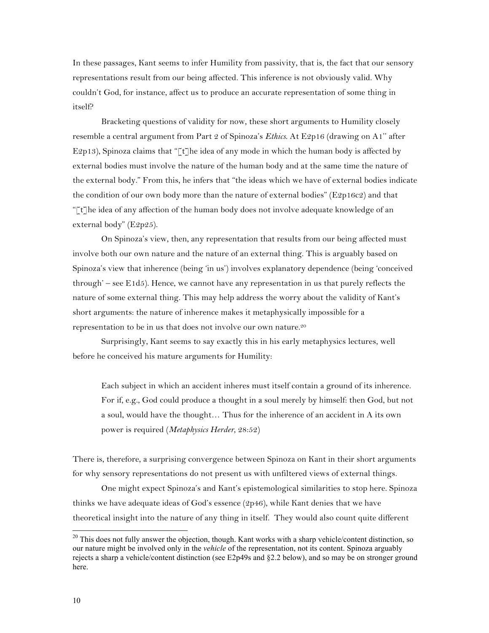In these passages, Kant seems to infer Humility from passivity, that is, the fact that our sensory representations result from our being affected. This inference is not obviously valid. Why couldn't God, for instance, affect us to produce an accurate representation of some thing in itself?

Bracketing questions of validity for now, these short arguments to Humility closely resemble a central argument from Part 2 of Spinoza's *Ethics*. At E2p16 (drawing on A1'' after E2p13), Spinoza claims that "[t]he idea of any mode in which the human body is affected by external bodies must involve the nature of the human body and at the same time the nature of the external body." From this, he infers that "the ideas which we have of external bodies indicate the condition of our own body more than the nature of external bodies" (E2p16c2) and that "[t]he idea of any affection of the human body does not involve adequate knowledge of an external body" (E2p25).

On Spinoza's view, then, any representation that results from our being affected must involve both our own nature and the nature of an external thing. This is arguably based on Spinoza's view that inherence (being 'in us') involves explanatory dependence (being 'conceived through' – see  $E1d5$ ). Hence, we cannot have any representation in us that purely reflects the nature of some external thing. This may help address the worry about the validity of Kant's short arguments: the nature of inherence makes it metaphysically impossible for a representation to be in us that does not involve our own nature.20

Surprisingly, Kant seems to say exactly this in his early metaphysics lectures, well before he conceived his mature arguments for Humility:

Each subject in which an accident inheres must itself contain a ground of its inherence. For if, e.g., God could produce a thought in a soul merely by himself: then God, but not a soul, would have the thought… Thus for the inherence of an accident in A its own power is required (*Metaphysics Herder*, 28:52)

There is, therefore, a surprising convergence between Spinoza on Kant in their short arguments for why sensory representations do not present us with unfiltered views of external things.

One might expect Spinoza's and Kant's epistemological similarities to stop here. Spinoza thinks we have adequate ideas of God's essence (2p46), while Kant denies that we have theoretical insight into the nature of any thing in itself. They would also count quite different

<sup>&</sup>lt;sup>20</sup> This does not fully answer the objection, though. Kant works with a sharp vehicle/content distinction, so our nature might be involved only in the *vehicle* of the representation, not its content. Spinoza arguably rejects a sharp a vehicle/content distinction (see E2p49s and §2.2 below), and so may be on stronger ground here.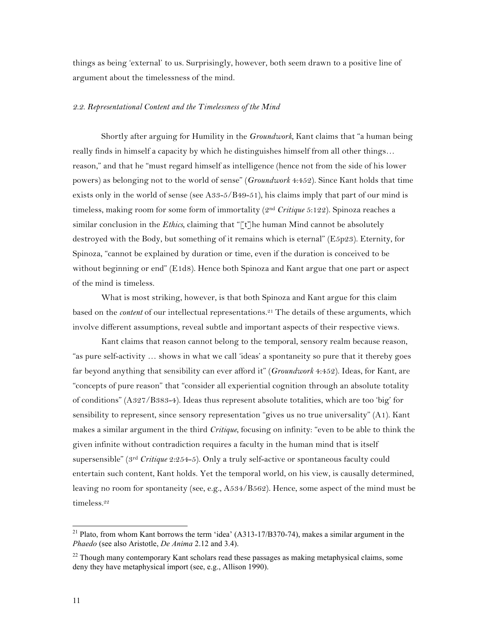things as being 'external' to us. Surprisingly, however, both seem drawn to a positive line of argument about the timelessness of the mind.

#### *2.2. Representational Content and the Timelessness of the Mind*

Shortly after arguing for Humility in the *Groundwork*, Kant claims that "a human being really finds in himself a capacity by which he distinguishes himself from all other things… reason," and that he "must regard himself as intelligence (hence not from the side of his lower powers) as belonging not to the world of sense" (*Groundwork* 4:452). Since Kant holds that time exists only in the world of sense (see A33-5/B49-51), his claims imply that part of our mind is timeless, making room for some form of immortality (2nd *Critique* 5:122). Spinoza reaches a similar conclusion in the *Ethics*, claiming that "[t]he human Mind cannot be absolutely destroyed with the Body, but something of it remains which is eternal" (E5p23). Eternity, for Spinoza, "cannot be explained by duration or time, even if the duration is conceived to be without beginning or end" (E1d8). Hence both Spinoza and Kant argue that one part or aspect of the mind is timeless.

What is most striking, however, is that both Spinoza and Kant argue for this claim based on the *content* of our intellectual representations.21 The details of these arguments, which involve different assumptions, reveal subtle and important aspects of their respective views.

Kant claims that reason cannot belong to the temporal, sensory realm because reason, "as pure self-activity … shows in what we call 'ideas' a spontaneity so pure that it thereby goes far beyond anything that sensibility can ever afford it" (*Groundwork* 4:452). Ideas, for Kant, are "concepts of pure reason" that "consider all experiential cognition through an absolute totality of conditions" (A327/B383-4). Ideas thus represent absolute totalities, which are too 'big' for sensibility to represent, since sensory representation "gives us no true universality" (A1). Kant makes a similar argument in the third *Critique*, focusing on infinity: "even to be able to think the given infinite without contradiction requires a faculty in the human mind that is itself supersensible" (3rd *Critique* 2:254-5). Only a truly self-active or spontaneous faculty could entertain such content, Kant holds. Yet the temporal world, on his view, is causally determined, leaving no room for spontaneity (see, e.g., A534/B562). Hence, some aspect of the mind must be timeless.22

<sup>&</sup>lt;sup>21</sup> Plato, from whom Kant borrows the term 'idea' (A313-17/B370-74), makes a similar argument in the *Phaedo* (see also Aristotle, *De Anima* 2.12 and 3.4).

<sup>&</sup>lt;sup>22</sup> Though many contemporary Kant scholars read these passages as making metaphysical claims, some deny they have metaphysical import (see, e.g., Allison 1990).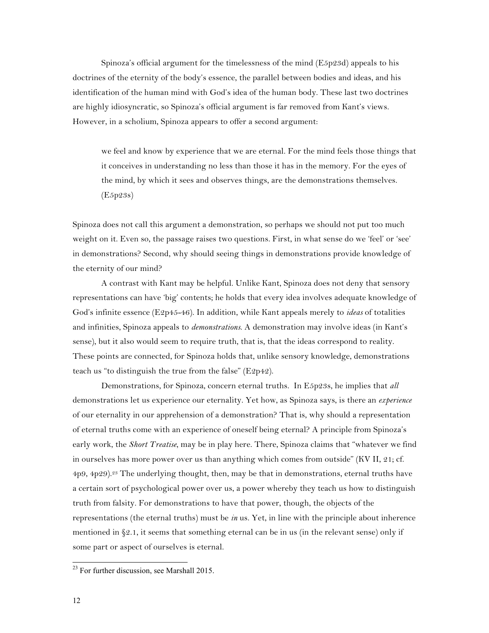Spinoza's official argument for the timelessness of the mind (E5p23d) appeals to his doctrines of the eternity of the body's essence, the parallel between bodies and ideas, and his identification of the human mind with God's idea of the human body. These last two doctrines are highly idiosyncratic, so Spinoza's official argument is far removed from Kant's views. However, in a scholium, Spinoza appears to offer a second argument:

we feel and know by experience that we are eternal. For the mind feels those things that it conceives in understanding no less than those it has in the memory. For the eyes of the mind, by which it sees and observes things, are the demonstrations themselves. (E5p23s)

Spinoza does not call this argument a demonstration, so perhaps we should not put too much weight on it. Even so, the passage raises two questions. First, in what sense do we 'feel' or 'see' in demonstrations? Second, why should seeing things in demonstrations provide knowledge of the eternity of our mind?

A contrast with Kant may be helpful. Unlike Kant, Spinoza does not deny that sensory representations can have 'big' contents; he holds that every idea involves adequate knowledge of God's infinite essence (E2p45-46). In addition, while Kant appeals merely to *ideas* of totalities and infinities, Spinoza appeals to *demonstrations*. A demonstration may involve ideas (in Kant's sense), but it also would seem to require truth, that is, that the ideas correspond to reality. These points are connected, for Spinoza holds that, unlike sensory knowledge, demonstrations teach us "to distinguish the true from the false" (E2p42).

Demonstrations, for Spinoza, concern eternal truths. In E5p23s, he implies that *all*  demonstrations let us experience our eternality. Yet how, as Spinoza says, is there an *experience* of our eternality in our apprehension of a demonstration? That is, why should a representation of eternal truths come with an experience of oneself being eternal? A principle from Spinoza's early work, the *Short Treatise*, may be in play here. There, Spinoza claims that "whatever we find in ourselves has more power over us than anything which comes from outside" (KV II, 21; cf. 4p9, 4p29).23 The underlying thought, then, may be that in demonstrations, eternal truths have a certain sort of psychological power over us, a power whereby they teach us how to distinguish truth from falsity. For demonstrations to have that power, though, the objects of the representations (the eternal truths) must be *in* us. Yet, in line with the principle about inherence mentioned in §2.1, it seems that something eternal can be in us (in the relevant sense) only if some part or aspect of ourselves is eternal.

<sup>&</sup>lt;sup>23</sup> For further discussion, see Marshall 2015.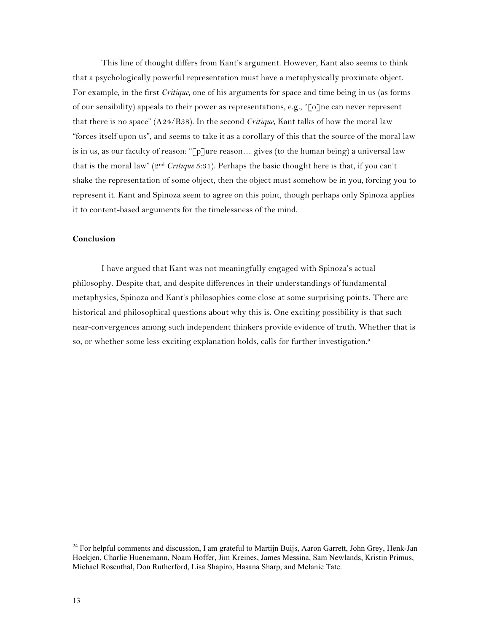This line of thought differs from Kant's argument. However, Kant also seems to think that a psychologically powerful representation must have a metaphysically proximate object. For example, in the first *Critique*, one of his arguments for space and time being in us (as forms of our sensibility) appeals to their power as representations, e.g., "[o]ne can never represent that there is no space" (A24/B38). In the second *Critique*, Kant talks of how the moral law "forces itself upon us", and seems to take it as a corollary of this that the source of the moral law is in us, as our faculty of reason: " $[p]$ ure reason... gives (to the human being) a universal law that is the moral law" (2nd *Critique* 5:31). Perhaps the basic thought here is that, if you can't shake the representation of some object, then the object must somehow be in you, forcing you to represent it. Kant and Spinoza seem to agree on this point, though perhaps only Spinoza applies it to content-based arguments for the timelessness of the mind.

## **Conclusion**

I have argued that Kant was not meaningfully engaged with Spinoza's actual philosophy. Despite that, and despite differences in their understandings of fundamental metaphysics, Spinoza and Kant's philosophies come close at some surprising points. There are historical and philosophical questions about why this is. One exciting possibility is that such near-convergences among such independent thinkers provide evidence of truth. Whether that is so, or whether some less exciting explanation holds, calls for further investigation.<sup>24</sup>

<sup>&</sup>lt;sup>24</sup> For helpful comments and discussion, I am grateful to Martijn Buijs, Aaron Garrett, John Grey, Henk-Jan Hoekjen, Charlie Huenemann, Noam Hoffer, Jim Kreines, James Messina, Sam Newlands, Kristin Primus, Michael Rosenthal, Don Rutherford, Lisa Shapiro, Hasana Sharp, and Melanie Tate.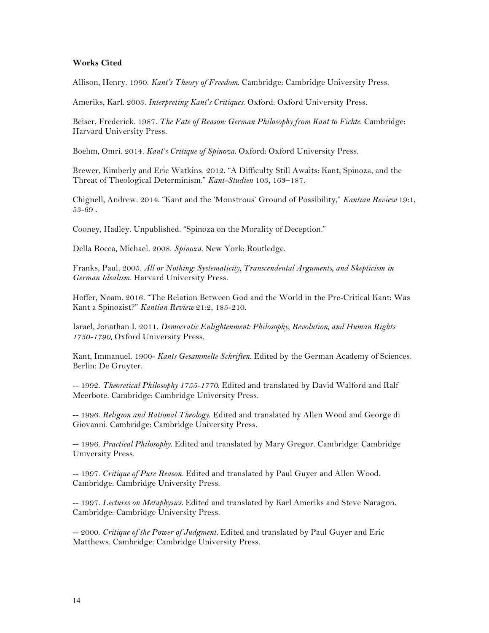## **Works Cited**

Allison, Henry. 1990. *Kant's Theory of Freedom*. Cambridge: Cambridge University Press.

Ameriks, Karl. 2003. *Interpreting Kant's Critiques*. Oxford: Oxford University Press.

Beiser, Frederick. 1987. *The Fate of Reason: German Philosophy from Kant to Fichte*. Cambridge: Harvard University Press.

Boehm, Omri. 2014. *Kant's Critique of Spinoza*. Oxford: Oxford University Press.

Brewer, Kimberly and Eric Watkins. 2012. "A Difficulty Still Awaits: Kant, Spinoza, and the Threat of Theological Determinism." *Kant-Studien* 103, 163–187.

Chignell, Andrew. 2014. "Kant and the 'Monstrous' Ground of Possibility," *Kantian Review* 19:1, 53-69 .

Cooney, Hadley. Unpublished. "Spinoza on the Morality of Deception."

Della Rocca, Michael. 2008. *Spinoza*. New York: Routledge.

Franks, Paul. 2005. *All or Nothing: Systematicity, Transcendental Arguments, and Skepticism in German Idealism*. Harvard University Press.

Hoffer, Noam. 2016. "The Relation Between God and the World in the Pre-Critical Kant: Was Kant a Spinozist?" *Kantian Review* 21:2, 185-210.

Israel, Jonathan I. 2011. *Democratic Enlightenment: Philosophy, Revolution, and Human Rights 1750-1790*, Oxford University Press.

Kant, Immanuel. 1900- *Kants Gesammelte Schriften.* Edited by the German Academy of Sciences. Berlin: De Gruyter.

-- 1992. *Theoretical Philosophy 1755-1770.* Edited and translated by David Walford and Ralf Meerbote. Cambridge: Cambridge University Press.

-- 1996. *Religion and Rational Theology*. Edited and translated by Allen Wood and George di Giovanni. Cambridge: Cambridge University Press.

-- 1996. *Practical Philosophy.* Edited and translated by Mary Gregor. Cambridge: Cambridge University Press.

-- 1997. *Critique of Pure Reason.* Edited and translated by Paul Guyer and Allen Wood. Cambridge: Cambridge University Press.

-- 1997. *Lectures on Metaphysics.* Edited and translated by Karl Ameriks and Steve Naragon. Cambridge: Cambridge University Press.

-- 2000. *Critique of the Power of Judgment.* Edited and translated by Paul Guyer and Eric Matthews. Cambridge: Cambridge University Press.